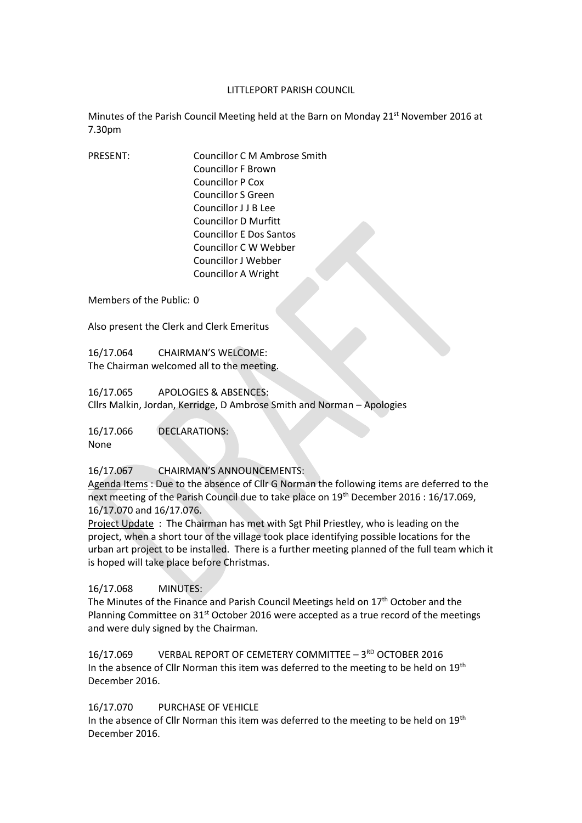#### LITTLEPORT PARISH COUNCIL

Minutes of the Parish Council Meeting held at the Barn on Monday 21st November 2016 at 7.30pm

PRESENT: Councillor C M Ambrose Smith Councillor F Brown Councillor P Cox Councillor S Green Councillor J J B Lee Councillor D Murfitt Councillor E Dos Santos Councillor C W Webber Councillor J Webber Councillor A Wright

Members of the Public: 0

Also present the Clerk and Clerk Emeritus

16/17.064 CHAIRMAN'S WELCOME: The Chairman welcomed all to the meeting.

16/17.065 APOLOGIES & ABSENCES: Cllrs Malkin, Jordan, Kerridge, D Ambrose Smith and Norman – Apologies

16/17.066 DECLARATIONS: None

## 16/17.067 CHAIRMAN'S ANNOUNCEMENTS:

Agenda Items : Due to the absence of Cllr G Norman the following items are deferred to the next meeting of the Parish Council due to take place on 19<sup>th</sup> December 2016 : 16/17.069, 16/17.070 and 16/17.076.

Project Update : The Chairman has met with Sgt Phil Priestley, who is leading on the project, when a short tour of the village took place identifying possible locations for the urban art project to be installed. There is a further meeting planned of the full team which it is hoped will take place before Christmas.

#### 16/17.068 MINUTES:

The Minutes of the Finance and Parish Council Meetings held on 17<sup>th</sup> October and the Planning Committee on  $31<sup>st</sup>$  October 2016 were accepted as a true record of the meetings and were duly signed by the Chairman.

16/17.069 VERBAL REPORT OF CEMETERY COMMITTEE - 3<sup>RD</sup> OCTOBER 2016 In the absence of Cllr Norman this item was deferred to the meeting to be held on 19<sup>th</sup> December 2016.

#### 16/17.070 PURCHASE OF VEHICLE

In the absence of Cllr Norman this item was deferred to the meeting to be held on 19<sup>th</sup> December 2016.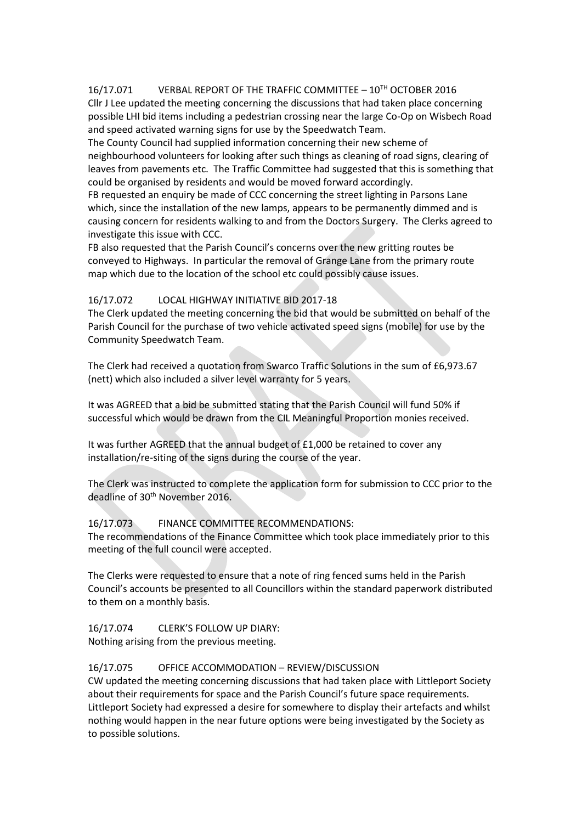# 16/17.071 VERBAL REPORT OF THE TRAFFIC COMMITTEE – 10TH OCTOBER 2016

Cllr J Lee updated the meeting concerning the discussions that had taken place concerning possible LHI bid items including a pedestrian crossing near the large Co-Op on Wisbech Road and speed activated warning signs for use by the Speedwatch Team.

The County Council had supplied information concerning their new scheme of neighbourhood volunteers for looking after such things as cleaning of road signs, clearing of leaves from pavements etc. The Traffic Committee had suggested that this is something that could be organised by residents and would be moved forward accordingly.

FB requested an enquiry be made of CCC concerning the street lighting in Parsons Lane which, since the installation of the new lamps, appears to be permanently dimmed and is causing concern for residents walking to and from the Doctors Surgery. The Clerks agreed to investigate this issue with CCC.

FB also requested that the Parish Council's concerns over the new gritting routes be conveyed to Highways. In particular the removal of Grange Lane from the primary route map which due to the location of the school etc could possibly cause issues.

## 16/17.072 LOCAL HIGHWAY INITIATIVE BID 2017-18

The Clerk updated the meeting concerning the bid that would be submitted on behalf of the Parish Council for the purchase of two vehicle activated speed signs (mobile) for use by the Community Speedwatch Team.

The Clerk had received a quotation from Swarco Traffic Solutions in the sum of £6,973.67 (nett) which also included a silver level warranty for 5 years.

It was AGREED that a bid be submitted stating that the Parish Council will fund 50% if successful which would be drawn from the CIL Meaningful Proportion monies received.

It was further AGREED that the annual budget of £1,000 be retained to cover any installation/re-siting of the signs during the course of the year.

The Clerk was instructed to complete the application form for submission to CCC prior to the deadline of 30th November 2016.

#### 16/17.073 FINANCE COMMITTEE RECOMMENDATIONS:

The recommendations of the Finance Committee which took place immediately prior to this meeting of the full council were accepted.

The Clerks were requested to ensure that a note of ring fenced sums held in the Parish Council's accounts be presented to all Councillors within the standard paperwork distributed to them on a monthly basis.

16/17.074 CLERK'S FOLLOW UP DIARY:

Nothing arising from the previous meeting.

#### 16/17.075 OFFICE ACCOMMODATION – REVIEW/DISCUSSION

CW updated the meeting concerning discussions that had taken place with Littleport Society about their requirements for space and the Parish Council's future space requirements. Littleport Society had expressed a desire for somewhere to display their artefacts and whilst nothing would happen in the near future options were being investigated by the Society as to possible solutions.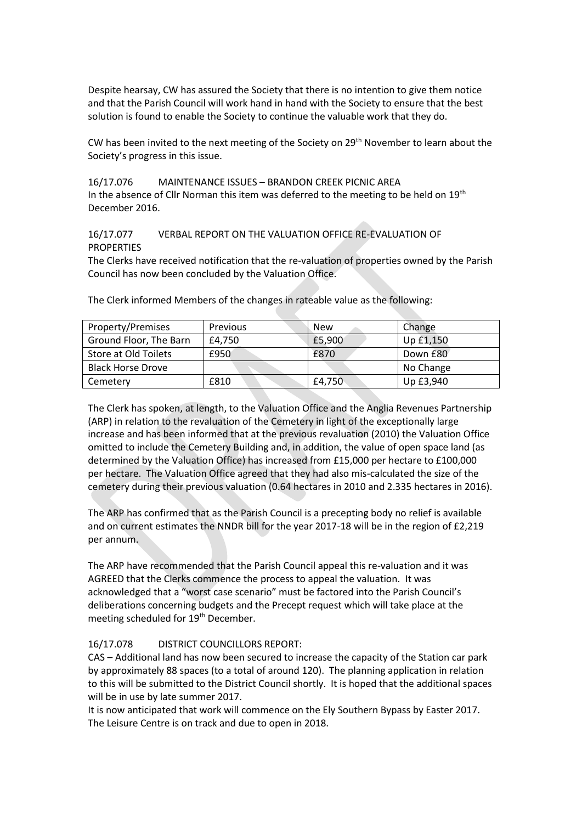Despite hearsay, CW has assured the Society that there is no intention to give them notice and that the Parish Council will work hand in hand with the Society to ensure that the best solution is found to enable the Society to continue the valuable work that they do.

CW has been invited to the next meeting of the Society on  $29<sup>th</sup>$  November to learn about the Society's progress in this issue.

#### 16/17.076 MAINTENANCE ISSUES – BRANDON CREEK PICNIC AREA

In the absence of Cllr Norman this item was deferred to the meeting to be held on  $19<sup>th</sup>$ December 2016.

## 16/17.077 VERBAL REPORT ON THE VALUATION OFFICE RE-EVALUATION OF PROPERTIES

The Clerks have received notification that the re-valuation of properties owned by the Parish Council has now been concluded by the Valuation Office.

| Property/Premises        | Previous | <b>New</b> | Change    |
|--------------------------|----------|------------|-----------|
| Ground Floor, The Barn   | £4.750   | £5,900     | Up £1,150 |
| Store at Old Toilets     | £950     | £870       | Down £80  |
| <b>Black Horse Drove</b> |          |            | No Change |
| Cemetery                 | £810     | £4,750     | Up £3,940 |

The Clerk informed Members of the changes in rateable value as the following:

The Clerk has spoken, at length, to the Valuation Office and the Anglia Revenues Partnership (ARP) in relation to the revaluation of the Cemetery in light of the exceptionally large increase and has been informed that at the previous revaluation (2010) the Valuation Office omitted to include the Cemetery Building and, in addition, the value of open space land (as determined by the Valuation Office) has increased from £15,000 per hectare to £100,000 per hectare. The Valuation Office agreed that they had also mis-calculated the size of the cemetery during their previous valuation (0.64 hectares in 2010 and 2.335 hectares in 2016).

The ARP has confirmed that as the Parish Council is a precepting body no relief is available and on current estimates the NNDR bill for the year 2017-18 will be in the region of £2,219 per annum.

The ARP have recommended that the Parish Council appeal this re-valuation and it was AGREED that the Clerks commence the process to appeal the valuation. It was acknowledged that a "worst case scenario" must be factored into the Parish Council's deliberations concerning budgets and the Precept request which will take place at the meeting scheduled for 19<sup>th</sup> December.

# 16/17.078 DISTRICT COUNCILLORS REPORT:

CAS – Additional land has now been secured to increase the capacity of the Station car park by approximately 88 spaces (to a total of around 120). The planning application in relation to this will be submitted to the District Council shortly. It is hoped that the additional spaces will be in use by late summer 2017.

It is now anticipated that work will commence on the Ely Southern Bypass by Easter 2017. The Leisure Centre is on track and due to open in 2018.